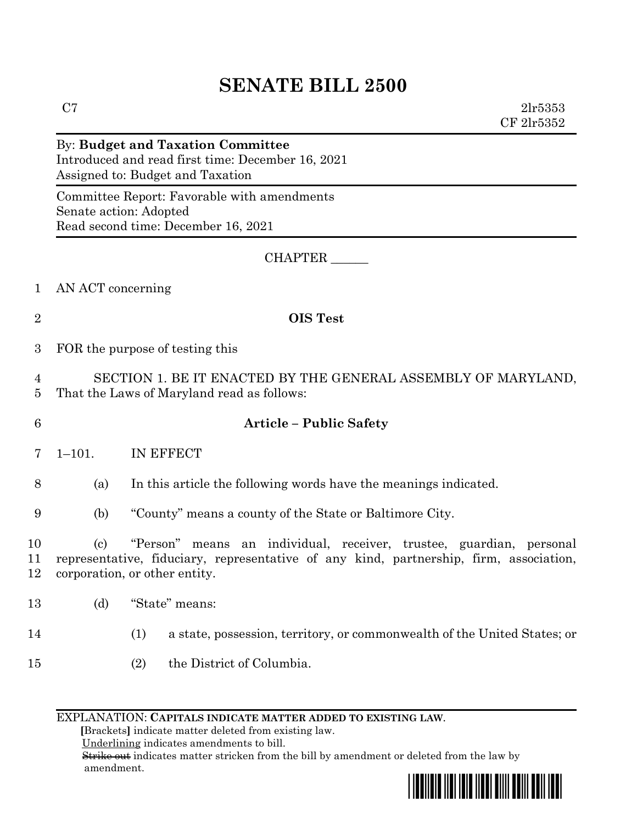# **SENATE BILL 2500**

 $C7$  2lr5353 CF 2lr5352

#### By: **Budget and Taxation Committee** Introduced and read first time: December 16, 2021 Assigned to: Budget and Taxation

Committee Report: Favorable with amendments Senate action: Adopted Read second time: December 16, 2021

### CHAPTER \_\_\_\_\_\_

- 1 AN ACT concerning
- 

# 2 **OIS Test**

3 FOR the purpose of testing this

4 SECTION 1. BE IT ENACTED BY THE GENERAL ASSEMBLY OF MARYLAND, 5 That the Laws of Maryland read as follows:

## 6 **Article – Public Safety**

7 1–101. IN EFFECT

8 (a) In this article the following words have the meanings indicated.

9 (b) "County" means a county of the State or Baltimore City.

10 (c) "Person" means an individual, receiver, trustee, guardian, personal 11 representative, fiduciary, representative of any kind, partnership, firm, association, 12 corporation, or other entity.

- 13 (d) "State" means:
- 
- 14 (1) a state, possession, territory, or commonwealth of the United States; or
- 15 (2) the District of Columbia.

#### EXPLANATION: **CAPITALS INDICATE MATTER ADDED TO EXISTING LAW**.

 **[**Brackets**]** indicate matter deleted from existing law.

Underlining indicates amendments to bill.

 Strike out indicates matter stricken from the bill by amendment or deleted from the law by amendment.